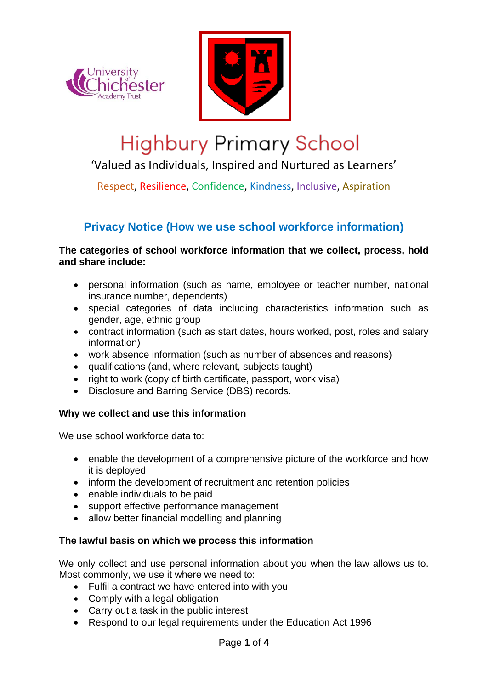



# **Highbury Primary School**

'Valued as Individuals, Inspired and Nurtured as Learners'

Respect, Resilience, Confidence, Kindness, Inclusive, Aspiration

# **Privacy Notice (How we use school workforce information)**

#### **The categories of school workforce information that we collect, process, hold and share include:**

- personal information (such as name, employee or teacher number, national insurance number, dependents)
- special categories of data including characteristics information such as gender, age, ethnic group
- contract information (such as start dates, hours worked, post, roles and salary information)
- work absence information (such as number of absences and reasons)
- qualifications (and, where relevant, subjects taught)
- right to work (copy of birth certificate, passport, work visa)
- Disclosure and Barring Service (DBS) records.

# **Why we collect and use this information**

We use school workforce data to:

- enable the development of a comprehensive picture of the workforce and how it is deployed
- inform the development of recruitment and retention policies
- enable individuals to be paid
- support effective performance management
- allow better financial modelling and planning

# **The lawful basis on which we process this information**

We only collect and use personal information about you when the law allows us to. Most commonly, we use it where we need to:

- Fulfil a contract we have entered into with you
- Comply with a legal obligation
- Carry out a task in the public interest
- Respond to our legal requirements under the Education Act 1996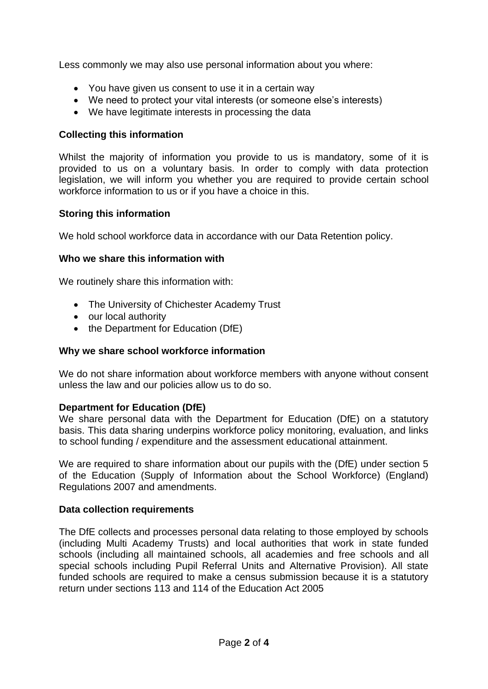Less commonly we may also use personal information about you where:

- You have given us consent to use it in a certain way
- We need to protect your vital interests (or someone else's interests)
- We have legitimate interests in processing the data

# **Collecting this information**

Whilst the majority of information you provide to us is mandatory, some of it is provided to us on a voluntary basis. In order to comply with data protection legislation, we will inform you whether you are required to provide certain school workforce information to us or if you have a choice in this.

# **Storing this information**

We hold school workforce data in accordance with our Data Retention policy.

#### **Who we share this information with**

We routinely share this information with:

- The University of Chichester Academy Trust
- our local authority
- the Department for Education (DfE)

# **Why we share school workforce information**

We do not share information about workforce members with anyone without consent unless the law and our policies allow us to do so.

# **Department for Education (DfE)**

We share personal data with the Department for Education (DfE) on a statutory basis. This data sharing underpins workforce policy monitoring, evaluation, and links to school funding / expenditure and the assessment educational attainment.

We are required to share information about our pupils with the (DfE) under section 5 of the Education (Supply of Information about the School Workforce) (England) Regulations 2007 and amendments.

# **Data collection requirements**

The DfE collects and processes personal data relating to those employed by schools (including Multi Academy Trusts) and local authorities that work in state funded schools (including all maintained schools, all academies and free schools and all special schools including Pupil Referral Units and Alternative Provision). All state funded schools are required to make a census submission because it is a statutory return under sections 113 and 114 of the Education Act 2005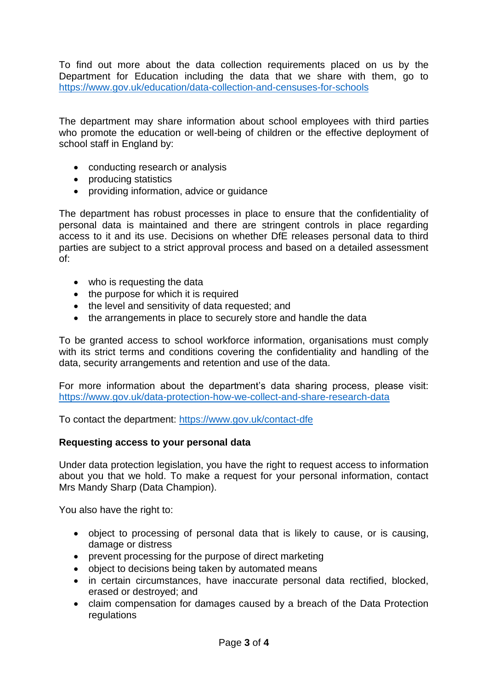To find out more about the data collection requirements placed on us by the Department for Education including the data that we share with them, go to <https://www.gov.uk/education/data-collection-and-censuses-for-schools>

The department may share information about school employees with third parties who promote the education or well-being of children or the effective deployment of school staff in England by:

- conducting research or analysis
- producing statistics
- providing information, advice or guidance

The department has robust processes in place to ensure that the confidentiality of personal data is maintained and there are stringent controls in place regarding access to it and its use. Decisions on whether DfE releases personal data to third parties are subject to a strict approval process and based on a detailed assessment of:

- who is requesting the data
- the purpose for which it is required
- the level and sensitivity of data requested; and
- the arrangements in place to securely store and handle the data

To be granted access to school workforce information, organisations must comply with its strict terms and conditions covering the confidentiality and handling of the data, security arrangements and retention and use of the data.

For more information about the department's data sharing process, please visit: <https://www.gov.uk/data-protection-how-we-collect-and-share-research-data>

To contact the department:<https://www.gov.uk/contact-dfe>

# **Requesting access to your personal data**

Under data protection legislation, you have the right to request access to information about you that we hold. To make a request for your personal information, contact Mrs Mandy Sharp (Data Champion).

You also have the right to:

- object to processing of personal data that is likely to cause, or is causing, damage or distress
- prevent processing for the purpose of direct marketing
- object to decisions being taken by automated means
- in certain circumstances, have inaccurate personal data rectified, blocked, erased or destroyed; and
- claim compensation for damages caused by a breach of the Data Protection regulations